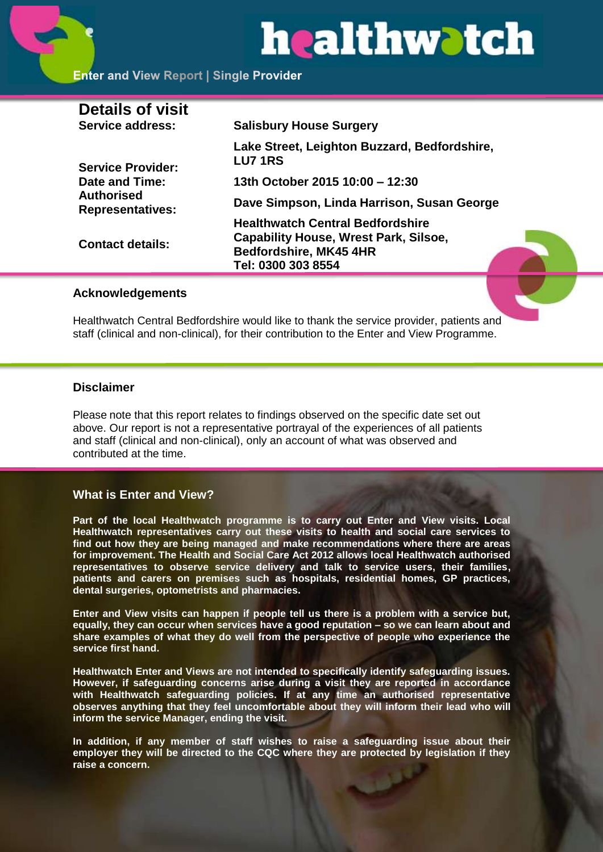# healthwatch

#### **Enter and View Report | Single Provider**

| <b>Details of visit</b>                                                                           |                                                                                                                                         |
|---------------------------------------------------------------------------------------------------|-----------------------------------------------------------------------------------------------------------------------------------------|
| Service address:                                                                                  | <b>Salisbury House Surgery</b>                                                                                                          |
| <b>Service Provider:</b><br><b>Date and Time:</b><br><b>Authorised</b><br><b>Representatives:</b> | Lake Street, Leighton Buzzard, Bedfordshire,<br><b>LU7 1RS</b>                                                                          |
|                                                                                                   | 13th October 2015 10:00 - 12:30                                                                                                         |
|                                                                                                   | Dave Simpson, Linda Harrison, Susan George                                                                                              |
| <b>Contact details:</b>                                                                           | <b>Healthwatch Central Bedfordshire</b><br><b>Capability House, Wrest Park, Silsoe,</b><br>Bedfordshire, MK45 4HR<br>Tel: 0300 303 8554 |
|                                                                                                   |                                                                                                                                         |

#### **Acknowledgements**

Healthwatch Central Bedfordshire would like to thank the service provider, patients and staff (clinical and non-clinical), for their contribution to the Enter and View Programme.

#### **Disclaimer**

Please note that this report relates to findings observed on the specific date set out above. Our report is not a representative portrayal of the experiences of all patients and staff (clinical and non-clinical), only an account of what was observed and contributed at the time.

#### **What is Enter and View?**

**Part of the local Healthwatch programme is to carry out Enter and View visits. Local Healthwatch representatives carry out these visits to health and social care services to find out how they are being managed and make recommendations where there are areas for improvement. The Health and Social Care Act 2012 allows local Healthwatch authorised representatives to observe service delivery and talk to service users, their families, patients and carers on premises such as hospitals, residential homes, GP practices, dental surgeries, optometrists and pharmacies.** 

**Enter and View visits can happen if people tell us there is a problem with a service but, equally, they can occur when services have a good reputation – so we can learn about and share examples of what they do well from the perspective of people who experience the service first hand.**

**Healthwatch Enter and Views are not intended to specifically identify safeguarding issues. However, if safeguarding concerns arise during a visit they are reported in accordance with Healthwatch safeguarding policies. If at any time an authorised representative observes anything that they feel uncomfortable about they will inform their lead who will inform the service Manager, ending the visit.** 

**In addition, if any member of staff wishes to raise a safeguarding issue about their employer they will be directed to the CQC where they are protected by legislation if they raise a concern.**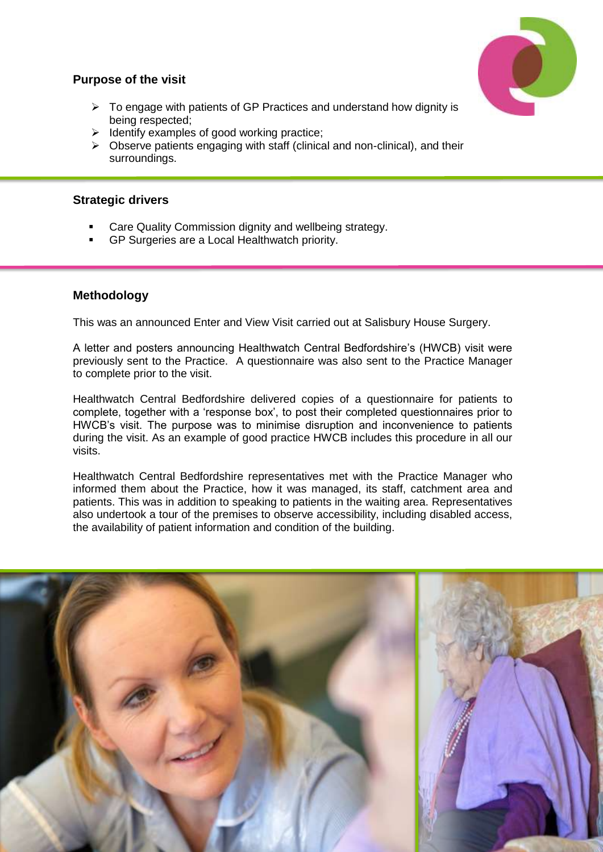### **Purpose of the visit**

- $\triangleright$  To engage with patients of GP Practices and understand how dignity is being respected;
- $\triangleright$  Identify examples of good working practice;
- $\triangleright$  Observe patients engaging with staff (clinical and non-clinical), and their surroundings.

#### **Strategic drivers**

- Care Quality Commission dignity and wellbeing strategy.
- GP Surgeries are a Local Healthwatch priority.

#### **Methodology**

This was an announced Enter and View Visit carried out at Salisbury House Surgery.

A letter and posters announcing Healthwatch Central Bedfordshire's (HWCB) visit were previously sent to the Practice. A questionnaire was also sent to the Practice Manager to complete prior to the visit.

Healthwatch Central Bedfordshire delivered copies of a questionnaire for patients to complete, together with a 'response box', to post their completed questionnaires prior to HWCB's visit. The purpose was to minimise disruption and inconvenience to patients during the visit. As an example of good practice HWCB includes this procedure in all our visits.

Healthwatch Central Bedfordshire representatives met with the Practice Manager who informed them about the Practice, how it was managed, its staff, catchment area and patients. This was in addition to speaking to patients in the waiting area. Representatives also undertook a tour of the premises to observe accessibility, including disabled access, the availability of patient information and condition of the building.

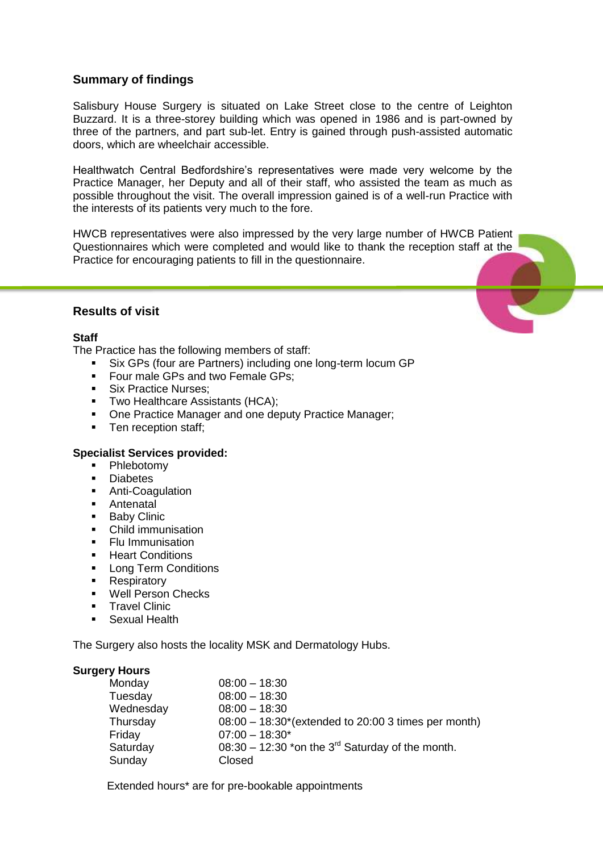#### **Summary of findings**

Salisbury House Surgery is situated on Lake Street close to the centre of Leighton Buzzard. It is a three-storey building which was opened in 1986 and is part-owned by three of the partners, and part sub-let. Entry is gained through push-assisted automatic doors, which are wheelchair accessible.

Healthwatch Central Bedfordshire's representatives were made very welcome by the Practice Manager, her Deputy and all of their staff, who assisted the team as much as possible throughout the visit. The overall impression gained is of a well-run Practice with the interests of its patients very much to the fore.

HWCB representatives were also impressed by the very large number of HWCB Patient Questionnaires which were completed and would like to thank the reception staff at the Practice for encouraging patients to fill in the questionnaire.

#### **Results of visit**

#### **Staff**

The Practice has the following members of staff:

- Six GPs (four are Partners) including one long-term locum GP
- **Four male GPs and two Female GPs;**
- Six Practice Nurses;
- **Two Healthcare Assistants (HCA);**
- One Practice Manager and one deputy Practice Manager;
- Ten reception staff;

#### **Specialist Services provided:**

- **•** Phlebotomv
- **Diabetes**
- **Anti-Coagulation**
- Antenatal<br>Baby Clini
- Baby Clinic
- Child immunisation
- **Flu Immunisation**
- **Heart Conditions**
- **Long Term Conditions**
- Respiratory
- Well Person Checks
- **Travel Clinic**
- **Sexual Health**

The Surgery also hosts the locality MSK and Dermatology Hubs.

#### **Surgery Hours**

| Monday    | $08:00 - 18:30$                                                |
|-----------|----------------------------------------------------------------|
| Tuesday   | $08:00 - 18:30$                                                |
| Wednesday | $08:00 - 18:30$                                                |
| Thursday  | $08:00 - 18:30^{*}$ (extended to 20:00 3 times per month)      |
| Friday    | $07:00 - 18:30*$                                               |
| Saturday  | $08:30 - 12:30$ *on the 3 <sup>rd</sup> Saturday of the month. |
| Sunday    | Closed                                                         |
|           |                                                                |

Extended hours\* are for pre-bookable appointments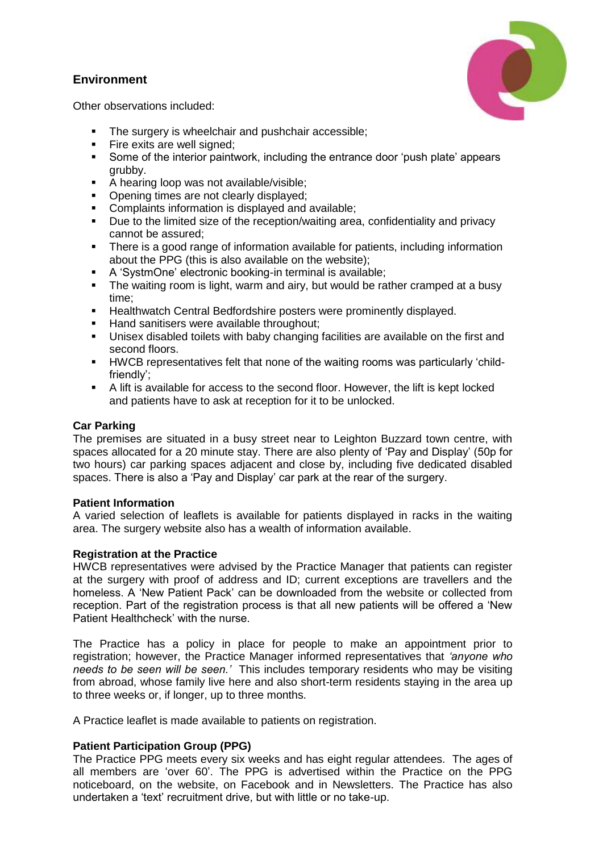#### **Environment**



Other observations included:

- The surgery is wheelchair and pushchair accessible;
- **Fire exits are well signed;**
- Some of the interior paintwork, including the entrance door 'push plate' appears grubby.
- A hearing loop was not available/visible;<br>Conening times are not clearly displayed:
- Opening times are not clearly displayed;
- **Complaints information is displayed and available;**
- Due to the limited size of the reception/waiting area, confidentiality and privacy cannot be assured;
- There is a good range of information available for patients, including information about the PPG (this is also available on the website);
- A 'SystmOne' electronic booking-in terminal is available;
- The waiting room is light, warm and airy, but would be rather cramped at a busy time;
- **Healthwatch Central Bedfordshire posters were prominently displayed.**
- Hand sanitisers were available throughout;
- Unisex disabled toilets with baby changing facilities are available on the first and second floors.
- HWCB representatives felt that none of the waiting rooms was particularly 'childfriendly';
- A lift is available for access to the second floor. However, the lift is kept locked and patients have to ask at reception for it to be unlocked.

#### **Car Parking**

The premises are situated in a busy street near to Leighton Buzzard town centre, with spaces allocated for a 20 minute stay. There are also plenty of 'Pay and Display' (50p for two hours) car parking spaces adjacent and close by, including five dedicated disabled spaces. There is also a 'Pay and Display' car park at the rear of the surgery.

#### **Patient Information**

A varied selection of leaflets is available for patients displayed in racks in the waiting area. The surgery website also has a wealth of information available.

#### **Registration at the Practice**

HWCB representatives were advised by the Practice Manager that patients can register at the surgery with proof of address and ID; current exceptions are travellers and the homeless. A 'New Patient Pack' can be downloaded from the website or collected from reception. Part of the registration process is that all new patients will be offered a 'New Patient Healthcheck' with the nurse.

The Practice has a policy in place for people to make an appointment prior to registration; however, the Practice Manager informed representatives that *'anyone who needs to be seen will be seen.'* This includes temporary residents who may be visiting from abroad, whose family live here and also short-term residents staying in the area up to three weeks or, if longer, up to three months.

A Practice leaflet is made available to patients on registration.

#### **Patient Participation Group (PPG)**

The Practice PPG meets every six weeks and has eight regular attendees. The ages of all members are 'over 60'. The PPG is advertised within the Practice on the PPG noticeboard, on the website, on Facebook and in Newsletters. The Practice has also undertaken a 'text' recruitment drive, but with little or no take-up.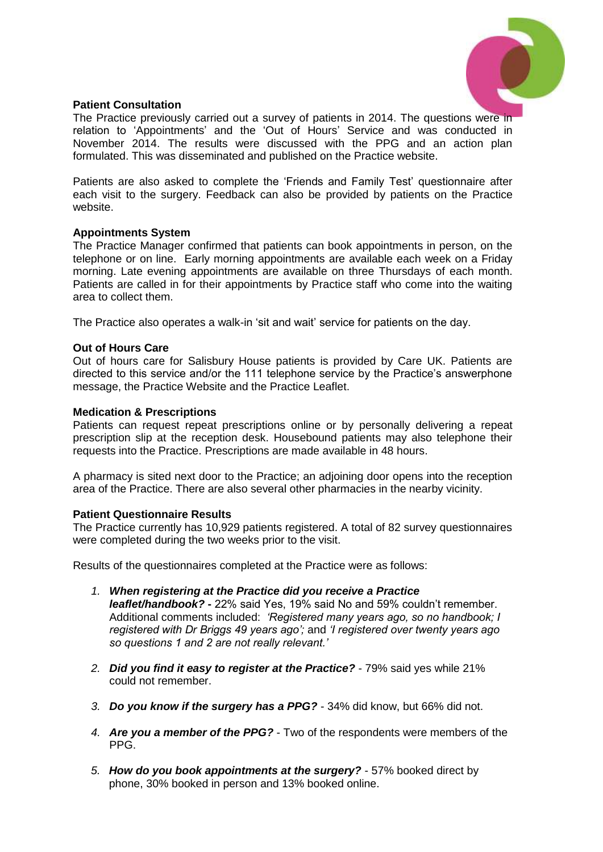

#### **Patient Consultation**

The Practice previously carried out a survey of patients in 2014. The questions were in relation to 'Appointments' and the 'Out of Hours' Service and was conducted in November 2014. The results were discussed with the PPG and an action plan formulated. This was disseminated and published on the Practice website.

Patients are also asked to complete the 'Friends and Family Test' questionnaire after each visit to the surgery. Feedback can also be provided by patients on the Practice website.

#### **Appointments System**

The Practice Manager confirmed that patients can book appointments in person, on the telephone or on line. Early morning appointments are available each week on a Friday morning. Late evening appointments are available on three Thursdays of each month. Patients are called in for their appointments by Practice staff who come into the waiting area to collect them.

The Practice also operates a walk-in 'sit and wait' service for patients on the day.

#### **Out of Hours Care**

Out of hours care for Salisbury House patients is provided by Care UK. Patients are directed to this service and/or the 111 telephone service by the Practice's answerphone message, the Practice Website and the Practice Leaflet.

#### **Medication & Prescriptions**

Patients can request repeat prescriptions online or by personally delivering a repeat prescription slip at the reception desk. Housebound patients may also telephone their requests into the Practice. Prescriptions are made available in 48 hours.

A pharmacy is sited next door to the Practice; an adjoining door opens into the reception area of the Practice. There are also several other pharmacies in the nearby vicinity.

#### **Patient Questionnaire Results**

The Practice currently has 10,929 patients registered. A total of 82 survey questionnaires were completed during the two weeks prior to the visit.

Results of the questionnaires completed at the Practice were as follows:

- *1. When registering at the Practice did you receive a Practice leaflet/handbook?* **-** 22% said Yes, 19% said No and 59% couldn't remember. Additional comments included: *'Registered many years ago, so no handbook; I registered with Dr Briggs 49 years ago';* and *'I registered over twenty years ago so questions 1 and 2 are not really relevant.'*
- *2. Did you find it easy to register at the Practice?* 79% said yes while 21% could not remember.
- *3. Do you know if the surgery has a PPG?* 34% did know, but 66% did not.
- *4. Are you a member of the PPG?* Two of the respondents were members of the PPG.
- *5. How do you book appointments at the surgery?* 57% booked direct by phone, 30% booked in person and 13% booked online.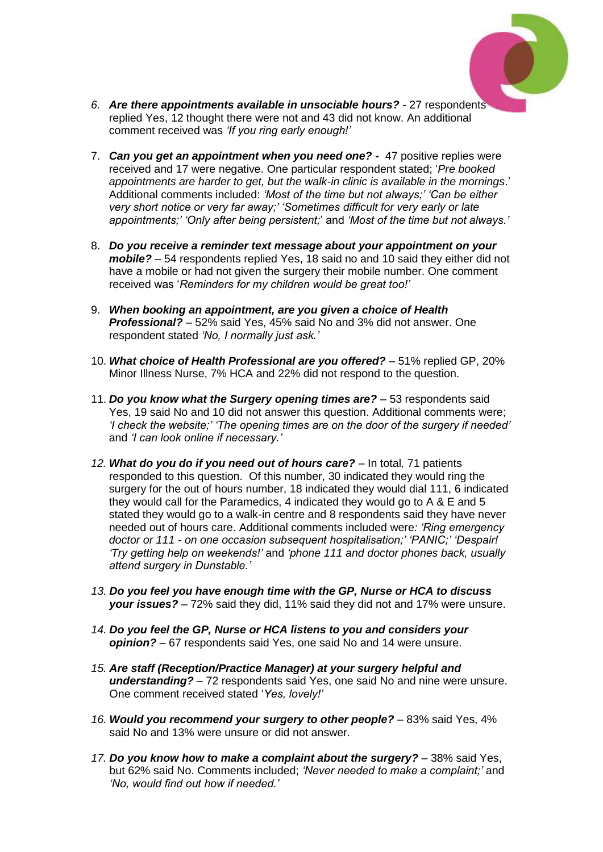

- *6. Are there appointments available in unsociable hours?* 27 respondents replied Yes, 12 thought there were not and 43 did not know. An additional comment received was *'If you ring early enough!'*
- 7. *Can you get an appointment when you need one?* 47 positive replies were received and 17 were negative. One particular respondent stated; '*Pre booked appointments are harder to get, but the walk-in clinic is available in the mornings*.' Additional comments included: *'Most of the time but not always;' 'Can be either very short notice or very far away;' 'Sometimes difficult for very early or late appointments;' 'Only after being persistent;*' and *'Most of the time but not always.'*
- 8. *Do you receive a reminder text message about your appointment on your mobile? –* 54 respondents replied Yes, 18 said no and 10 said they either did not have a mobile or had not given the surgery their mobile number. One comment received was '*Reminders for my children would be great too!'*
- 9. *When booking an appointment, are you given a choice of Health Professional? –* 52% said Yes, 45% said No and 3% did not answer. One respondent stated *'No, I normally just ask.'*
- 10. *What choice of Health Professional are you offered?* 51% replied GP, 20% Minor Illness Nurse, 7% HCA and 22% did not respond to the question.
- 11. *Do you know what the Surgery opening times are?* 53 respondents said Yes, 19 said No and 10 did not answer this question. Additional comments were; *'I check the website;' 'The opening times are on the door of the surgery if needed'*  and *'I can look online if necessary.'*
- *12. What do you do if you need out of hours care? –* In total*,* 71 patients responded to this question. Of this number, 30 indicated they would ring the surgery for the out of hours number, 18 indicated they would dial 111, 6 indicated they would call for the Paramedics, 4 indicated they would go to A & E and 5 stated they would go to a walk-in centre and 8 respondents said they have never needed out of hours care. Additional comments included were*: 'Ring emergency doctor or 111 - on one occasion subsequent hospitalisation;' 'PANIC;' 'Despair! 'Try getting help on weekends!'* and *'phone 111 and doctor phones back, usually attend surgery in Dunstable.'*
- *13. Do you feel you have enough time with the GP, Nurse or HCA to discuss your issues? –* 72% said they did, 11% said they did not and 17% were unsure.
- *14. Do you feel the GP, Nurse or HCA listens to you and considers your opinion? –* 67 respondents said Yes, one said No and 14 were unsure.
- *15. Are staff (Reception/Practice Manager) at your surgery helpful and understanding?* – 72 respondents said Yes, one said No and nine were unsure. One comment received stated '*Yes, lovely!'*
- *16. Would you recommend your surgery to other people? –* 83% said Yes, 4% said No and 13% were unsure or did not answer.
- *17. Do you know how to make a complaint about the surgery?* 38% said Yes, but 62% said No. Comments included; *'Never needed to make a complaint;'* and *'No, would find out how if needed.'*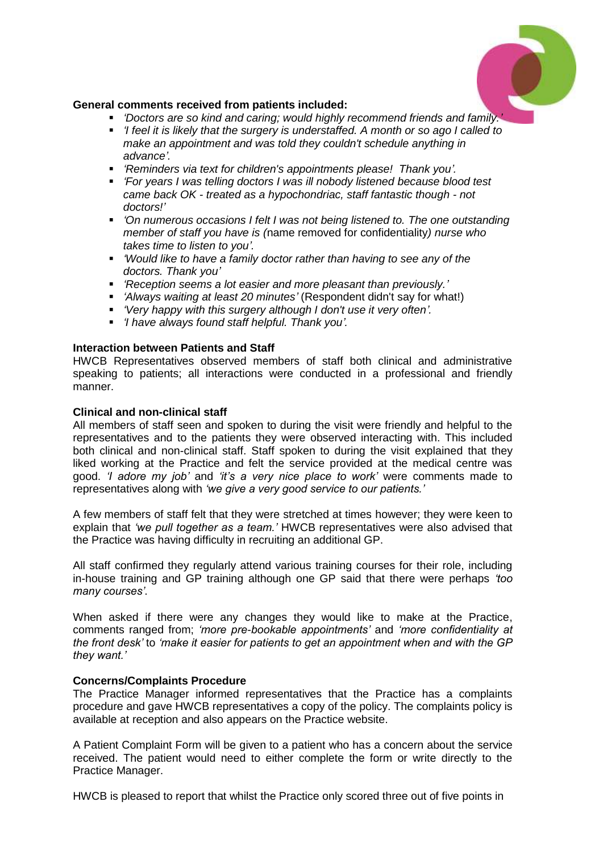

#### **General comments received from patients included:**

- *'Doctors are so kind and caring; would highly recommend friends and family.'*
- *'I feel it is likely that the surgery is understaffed. A month or so ago I called to make an appointment and was told they couldn't schedule anything in advance'.*
- *'Reminders via text for children's appointments please! Thank you'.*
- *'For years I was telling doctors I was ill nobody listened because blood test came back OK - treated as a hypochondriac, staff fantastic though - not doctors!'*
- *'On numerous occasions I felt I was not being listened to. The one outstanding member of staff you have is (*name removed for confidentiality*) nurse who takes time to listen to you'.*
- *'Would like to have a family doctor rather than having to see any of the doctors. Thank you'*
- *'Reception seems a lot easier and more pleasant than previously.'*
- *'Always waiting at least 20 minutes'* (Respondent didn't say for what!)
- *'Very happy with this surgery although I don't use it very often'.*
- *'I have always found staff helpful. Thank you'.*

#### **Interaction between Patients and Staff**

HWCB Representatives observed members of staff both clinical and administrative speaking to patients; all interactions were conducted in a professional and friendly manner.

#### **Clinical and non-clinical staff**

All members of staff seen and spoken to during the visit were friendly and helpful to the representatives and to the patients they were observed interacting with. This included both clinical and non-clinical staff. Staff spoken to during the visit explained that they liked working at the Practice and felt the service provided at the medical centre was good. *'I adore my job'* and *'it's a very nice place to work'* were comments made to representatives along with *'we give a very good service to our patients.'*

A few members of staff felt that they were stretched at times however; they were keen to explain that *'we pull together as a team.'* HWCB representatives were also advised that the Practice was having difficulty in recruiting an additional GP.

All staff confirmed they regularly attend various training courses for their role, including in-house training and GP training although one GP said that there were perhaps *'too many courses'*.

When asked if there were any changes they would like to make at the Practice, comments ranged from; *'more pre-bookable appointments'* and *'more confidentiality at the front desk'* to *'make it easier for patients to get an appointment when and with the GP they want.'*

#### **Concerns/Complaints Procedure**

The Practice Manager informed representatives that the Practice has a complaints procedure and gave HWCB representatives a copy of the policy. The complaints policy is available at reception and also appears on the Practice website.

A Patient Complaint Form will be given to a patient who has a concern about the service received. The patient would need to either complete the form or write directly to the Practice Manager.

HWCB is pleased to report that whilst the Practice only scored three out of five points in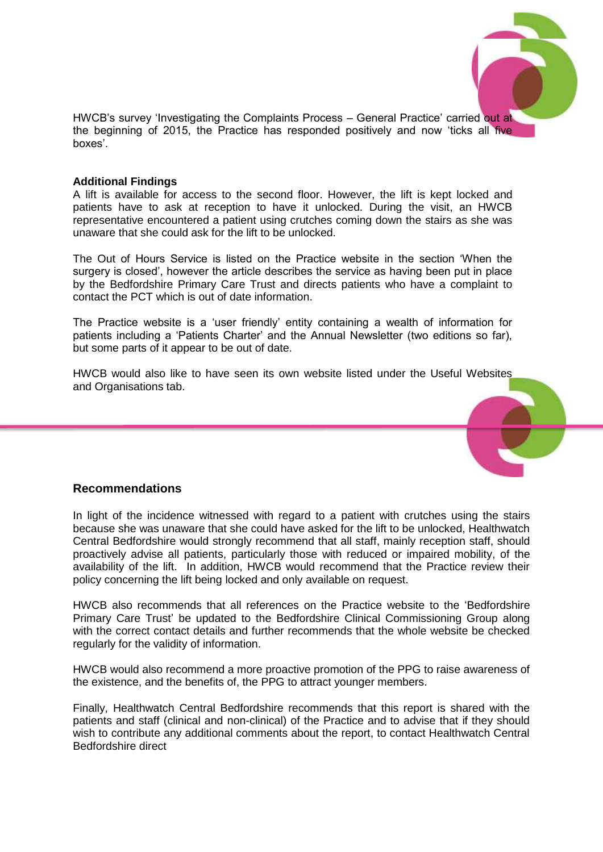

HWCB's survey 'Investigating the Complaints Process – General Practice' carried out at the beginning of 2015, the Practice has responded positively and now 'ticks all five boxes'.

#### **Additional Findings**

A lift is available for access to the second floor. However, the lift is kept locked and patients have to ask at reception to have it unlocked. During the visit, an HWCB representative encountered a patient using crutches coming down the stairs as she was unaware that she could ask for the lift to be unlocked.

The Out of Hours Service is listed on the Practice website in the section 'When the surgery is closed', however the article describes the service as having been put in place by the Bedfordshire Primary Care Trust and directs patients who have a complaint to contact the PCT which is out of date information.

The Practice website is a 'user friendly' entity containing a wealth of information for patients including a 'Patients Charter' and the Annual Newsletter (two editions so far), but some parts of it appear to be out of date.

HWCB would also like to have seen its own website listed under the Useful Websites and Organisations tab.



#### **Recommendations**

In light of the incidence witnessed with regard to a patient with crutches using the stairs because she was unaware that she could have asked for the lift to be unlocked, Healthwatch Central Bedfordshire would strongly recommend that all staff, mainly reception staff, should proactively advise all patients, particularly those with reduced or impaired mobility, of the availability of the lift. In addition, HWCB would recommend that the Practice review their policy concerning the lift being locked and only available on request.

HWCB also recommends that all references on the Practice website to the 'Bedfordshire Primary Care Trust' be updated to the Bedfordshire Clinical Commissioning Group along with the correct contact details and further recommends that the whole website be checked regularly for the validity of information.

HWCB would also recommend a more proactive promotion of the PPG to raise awareness of the existence, and the benefits of, the PPG to attract younger members.

Finally, Healthwatch Central Bedfordshire recommends that this report is shared with the patients and staff (clinical and non-clinical) of the Practice and to advise that if they should wish to contribute any additional comments about the report, to contact Healthwatch Central Bedfordshire direct